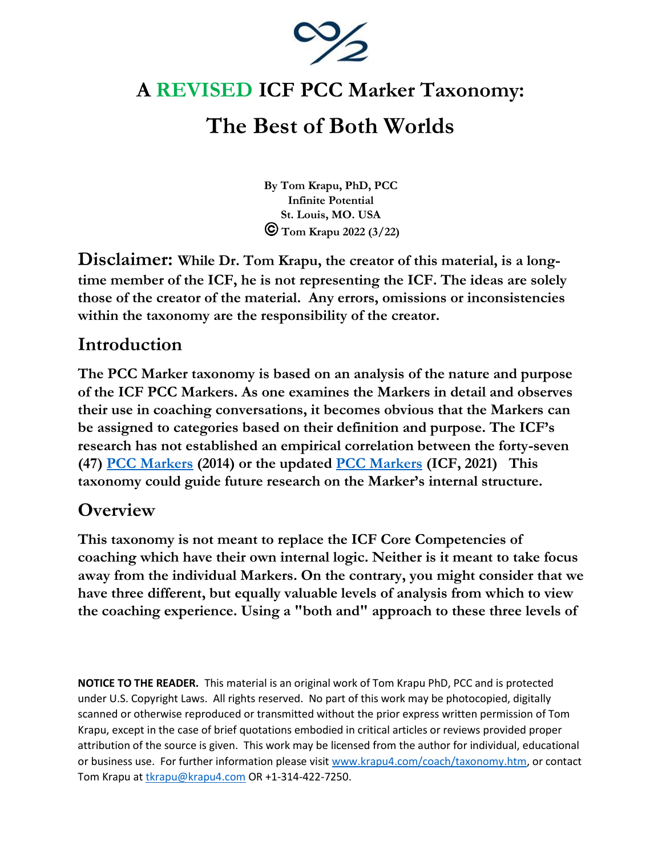

## **A REVISED ICF PCC Marker Taxonomy:**

# **The Best of Both Worlds**

**By Tom Krapu, PhD, PCC Infinite Potential St. Louis, MO. USA Tom Krapu 2022 (3/22)**

**Disclaimer: While Dr. Tom Krapu, the creator of this material, is a longtime member of the ICF, he is not representing the ICF. The ideas are solely those of the creator of the material. Any errors, omissions or inconsistencies within the taxonomy are the responsibility of the creator.** 

## **Introduction**

**The PCC Marker taxonomy is based on an analysis of the nature and purpose of the ICF PCC Markers. As one examines the Markers in detail and observes their use in coaching conversations, it becomes obvious that the Markers can be assigned to categories based on their definition and purpose. The ICF's research has not established an empirical correlation between the forty-seven (47) [PCC Markers](http://www.krapu4.com/PDF/PCCMarkers.pdf) (2014) or the updated [PCC Markers](https://www.krapu4.com/PDF/Updated-ICF-PCC-Markers_English_Brand-Updated_Final_6-25-2021.pdf) (ICF, 2021) This taxonomy could guide future research on the Marker's internal structure.** 

## **Overview**

**This taxonomy is not meant to replace the ICF Core Competencies of coaching which have their own internal logic. Neither is it meant to take focus away from the individual Markers. On the contrary, you might consider that we have three different, but equally valuable levels of analysis from which to view the coaching experience. Using a "both and" approach to these three levels of** 

**NOTICE TO THE READER.** This material is an original work of Tom Krapu PhD, PCC and is protected under U.S. Copyright Laws. All rights reserved. No part of this work may be photocopied, digitally scanned or otherwise reproduced or transmitted without the prior express written permission of Tom Krapu, except in the case of brief quotations embodied in critical articles or reviews provided proper attribution of the source is given. This work may be licensed from the author for individual, educational or business use. For further information please visit [www.krapu4.com/coach/taxonomy.htm,](http://www.krapu4.com/coach/taxonomy.htm) or contact Tom Krapu a[t tkrapu@krapu4.com](mailto:tkrapu@krapu4.com) OR +1-314-422-7250.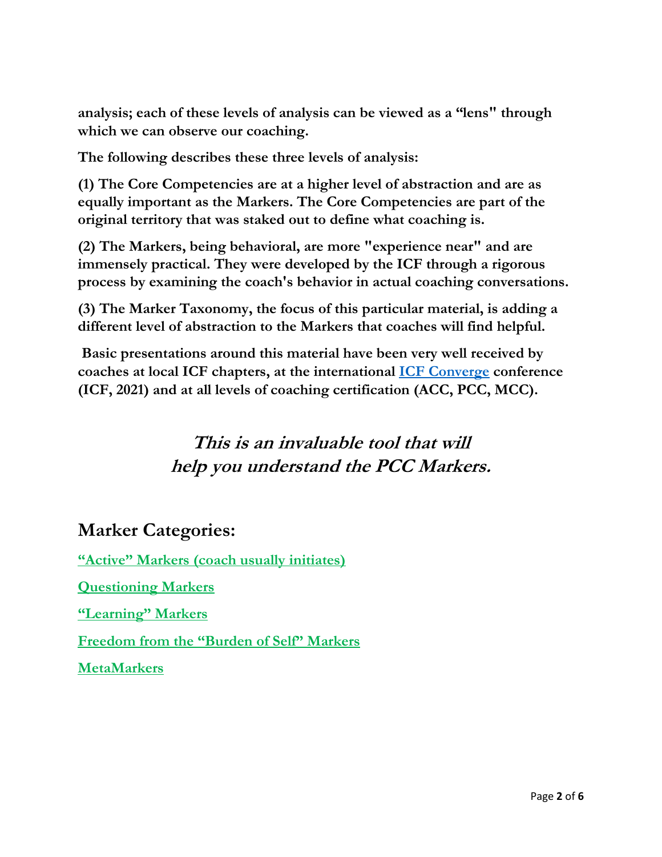**analysis; each of these levels of analysis can be viewed as a "lens" through which we can observe our coaching.**

**The following describes these three levels of analysis:**

**(1) The Core Competencies are at a higher level of abstraction and are as equally important as the Markers. The Core Competencies are part of the original territory that was staked out to define what coaching is.** 

**(2) The Markers, being behavioral, are more "experience near" and are immensely practical. They were developed by the ICF through a rigorous process by examining the coach's behavior in actual coaching conversations.** 

**(3) The Marker Taxonomy, the focus of this particular material, is adding a different level of abstraction to the Markers that coaches will find helpful.** 

**Basic presentations around this material have been very well received by coaches at local ICF chapters, at the international [ICF Converge](https://www.krapu4.com/PDF/ConvergeAbstract27Oct2021.pdf) conference (ICF, 2021) and at all levels of coaching certification (ACC, PCC, MCC).**

## **This is an invaluable tool that will help you understand the PCC Markers.**

### **Marker Categories:**

**"Active" Markers (coach usually initiates)**

**Questioning Markers**

**"Learning" Markers**

**Freedom from the "Burden of Self" Markers**

**MetaMarkers**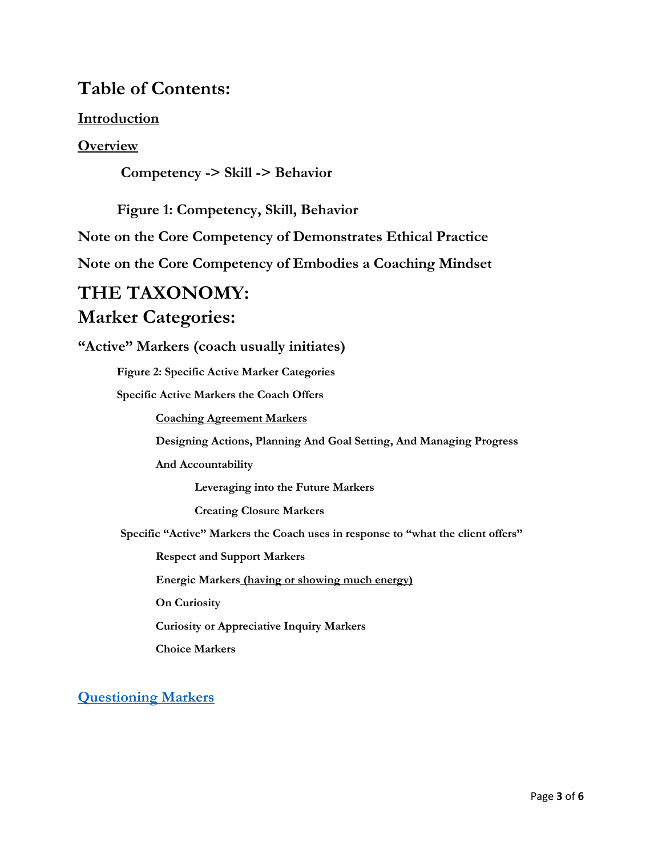### **Table of Contents:**

### **Introduction**

### **Overview**

**Competency -> Skill -> Behavior**

**Figure 1: Competency, Skill, Behavior**

**Note on the Core Competency of Demonstrates Ethical Practice** 

**Note on the Core Competency of Embodies a Coaching Mindset** 

# **THE TAXONOMY:**

### **Marker Categories:**

**"Active" Markers (coach usually initiates)**

**Figure 2: Specific Active Marker Categories**

**Specific Active Markers the Coach Offers**

**Coaching Agreement Markers**

**Designing Actions, Planning And Goal Setting, And Managing Progress**

**And Accountability**

**Leveraging into the Future Markers**

**Creating Closure Markers**

**Specific "Active" Markers the Coach uses in response to "what the client offers"**

**Respect and Support Markers**

**Energic Markers (having or showing much energy)**

**On Curiosity**

**Curiosity or Appreciative Inquiry Markers**

**Choice Markers**

**[Questioning Markers](https://www.youtube.com/watch?v=8A8XxdQTm-w)**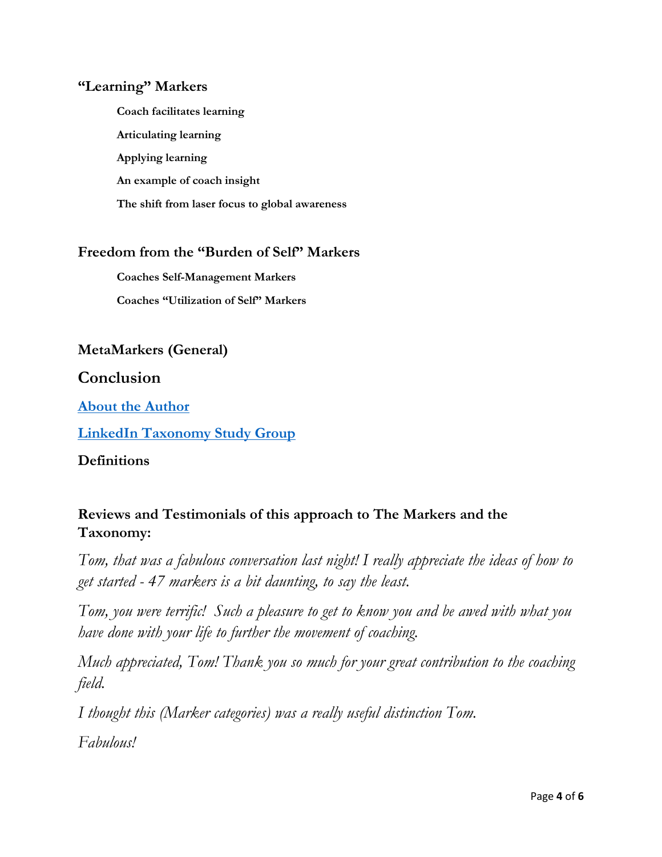#### **"Learning" Markers**

**Coach facilitates learning Articulating learning Applying learning An example of coach insight The shift from laser focus to global awareness**

### **Freedom from the "Burden of Self" Markers**

**Coaches Self-Management Markers Coaches "Utilization of Self" Markers**

### **MetaMarkers (General)**

#### **Conclusion**

**[About the Author](https://www.linkedin.com/in/tom-krapu-phd-pcc/)**

**[LinkedIn Taxonomy Study Group](https://www.linkedin.com/groups/12171341/)**

**Definitions**

### **Reviews and Testimonials of this approach to The Markers and the Taxonomy:**

*Tom, that was a fabulous conversation last night! I really appreciate the ideas of how to get started - 47 markers is a bit daunting, to say the least.*

*Tom, you were terrific! Such a pleasure to get to know you and be awed with what you have done with your life to further the movement of coaching.*

*Much appreciated, Tom! Thank you so much for your great contribution to the coaching field.*

*I thought this (Marker categories) was a really useful distinction Tom.*

*Fabulous!*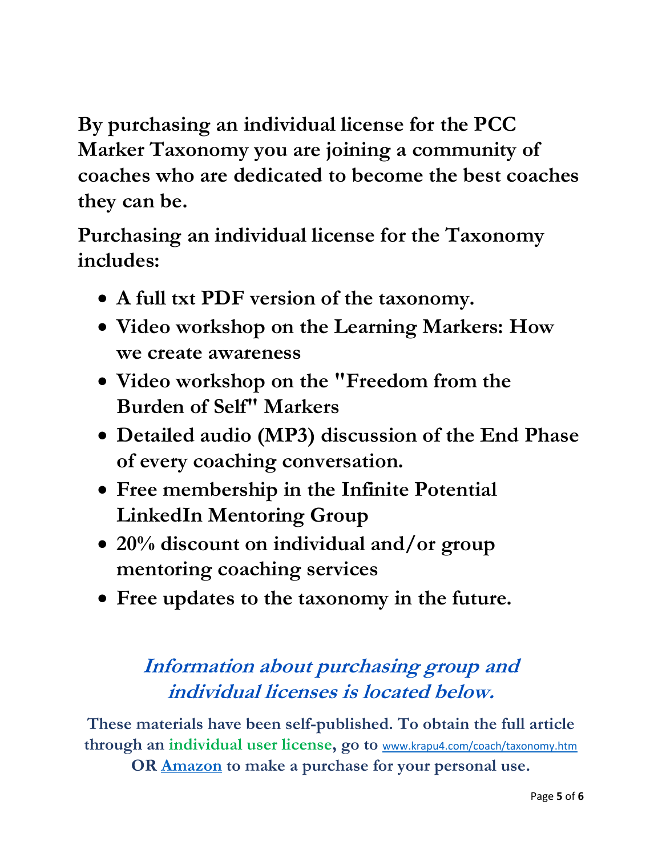**By purchasing an individual license for the PCC Marker Taxonomy you are joining a community of coaches who are dedicated to become the best coaches they can be.**

**Purchasing an individual license for the Taxonomy includes:**

- **A full txt PDF version of the taxonomy.**
- **Video workshop on the Learning Markers: How we create awareness**
- **Video workshop on the "Freedom from the Burden of Self" Markers**
- **Detailed audio (MP3) discussion of the End Phase of every coaching conversation.**
- **Free membership in the Infinite Potential LinkedIn Mentoring Group**
- **20% discount on individual and/or group mentoring coaching services**
- **Free updates to the taxonomy in the future.**

## **Information about purchasing group and individual licenses is located below.**

**These materials have been self-published. To obtain the full article through an individual user license, go to** [www.krapu4.com/coach/taxonomy.htm](http://www.krapu4.com/coach/taxonomy.htm) **OR [Amazon](https://www.amazon.com/dp/B07QMQB4PV) to make a purchase for your personal use.**